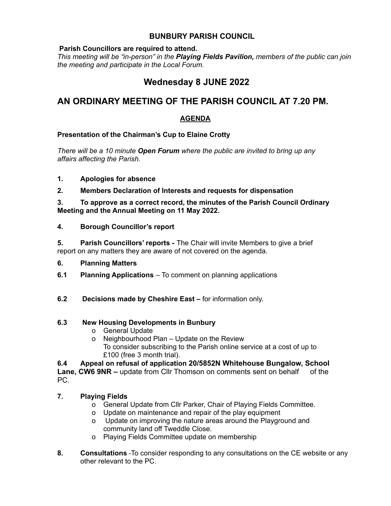## **BUNBURY PARISH COUNCIL**

### **Parish Councillors are required to attend.**

*This meeting will be "in-person" in the Playing Fields Pavilion, members of the public can join the meeting and participate in the Local Forum.*

# **Wednesday 8 JUNE 2022**

# **AN ORDINARY MEETING OF THE PARISH COUNCIL AT 7.20 PM.**

## **AGENDA**

## **Presentation of the Chairman's Cup to Elaine Crotty**

*There will be a 10 minute Open Forum where the public are invited to bring up any affairs affecting the Parish.*

- **1. Apologies for absence**
- **2. Members Declaration of Interests and requests for dispensation**

**3. To approve as a correct record, the minutes of the Parish Council Ordinary Meeting and the Annual Meeting on 11 May 2022.**

**4. Borough Councillor's report**

**5. Parish Councillors' reports -** The Chair will invite Members to give a brief report on any matters they are aware of not covered on the agenda.

- **6. Planning Matters**
- **6.1 Planning Applications** To comment on planning applications
- **6.2 Decisions made by Cheshire East –** for information only.

#### **6.3 New Housing Developments in Bunbury**

- o General Update
- o Neighbourhood Plan Update on the Review To consider subscribing to the Parish online service at a cost of up to £100 (free 3 month trial).

**6.4 Appeal on refusal of application 20/5852N Whitehouse Bungalow, School Lane, CW6 9NR –** update from Cllr Thomson on comments sent on behalf of the PC.

## **7. Playing Fields**

- o General Update from Cllr Parker, Chair of Playing Fields Committee.
- o Update on maintenance and repair of the play equipment
- o Update on improving the nature areas around the Playground and community land off Tweddle Close.
- o Playing Fields Committee update on membership
- **8. Consultations** -To consider responding to any consultations on the CE website or any other relevant to the PC.